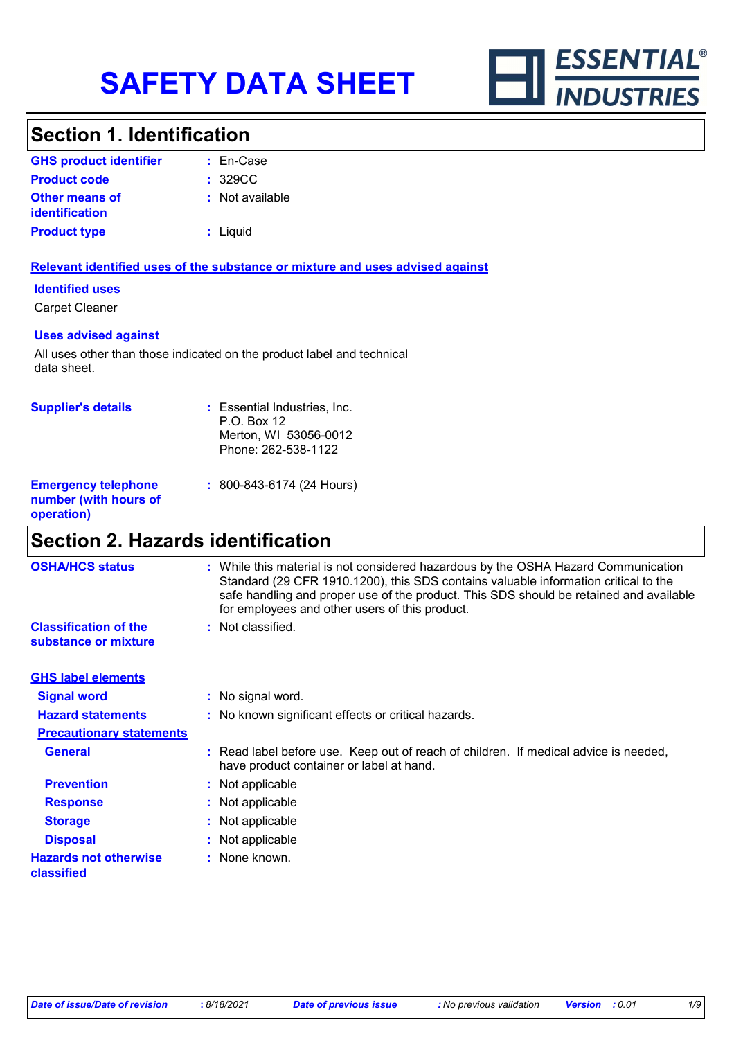

### **Section 1. Identification**

| <b>GHS product identifier</b>                  | $:$ En-Case     |
|------------------------------------------------|-----------------|
| <b>Product code</b>                            | : 329CC         |
| <b>Other means of</b><br><i>identification</i> | : Not available |
| <b>Product type</b>                            | : Liquid        |

#### **Relevant identified uses of the substance or mixture and uses advised against**

#### **Identified uses**

Carpet Cleaner

#### **Uses advised against**

All uses other than those indicated on the product label and technical data sheet.

| <b>Supplier's details</b>                                         | : Essential Industries, Inc.<br>P.O. Box 12<br>Merton, WI 53056-0012<br>Phone: 262-538-1122 |
|-------------------------------------------------------------------|---------------------------------------------------------------------------------------------|
| <b>Emergency telephone</b><br>number (with hours of<br>operation) | : 800-843-6174 (24 Hours)                                                                   |

## **Section 2. Hazards identification**

| <b>OSHA/HCS status</b>                               | : While this material is not considered hazardous by the OSHA Hazard Communication<br>Standard (29 CFR 1910.1200), this SDS contains valuable information critical to the<br>safe handling and proper use of the product. This SDS should be retained and available<br>for employees and other users of this product. |
|------------------------------------------------------|-----------------------------------------------------------------------------------------------------------------------------------------------------------------------------------------------------------------------------------------------------------------------------------------------------------------------|
| <b>Classification of the</b><br>substance or mixture | : Not classified.                                                                                                                                                                                                                                                                                                     |
| <b>GHS label elements</b>                            |                                                                                                                                                                                                                                                                                                                       |
| <b>Signal word</b>                                   | : No signal word.                                                                                                                                                                                                                                                                                                     |
| <b>Hazard statements</b>                             | : No known significant effects or critical hazards.                                                                                                                                                                                                                                                                   |
| <b>Precautionary statements</b>                      |                                                                                                                                                                                                                                                                                                                       |
| <b>General</b>                                       | : Read label before use. Keep out of reach of children. If medical advice is needed,<br>have product container or label at hand.                                                                                                                                                                                      |
| <b>Prevention</b>                                    | : Not applicable                                                                                                                                                                                                                                                                                                      |
| <b>Response</b>                                      | : Not applicable                                                                                                                                                                                                                                                                                                      |
| <b>Storage</b>                                       | : Not applicable                                                                                                                                                                                                                                                                                                      |
| <b>Disposal</b>                                      | : Not applicable                                                                                                                                                                                                                                                                                                      |
| <b>Hazards not otherwise</b><br>classified           | : None known.                                                                                                                                                                                                                                                                                                         |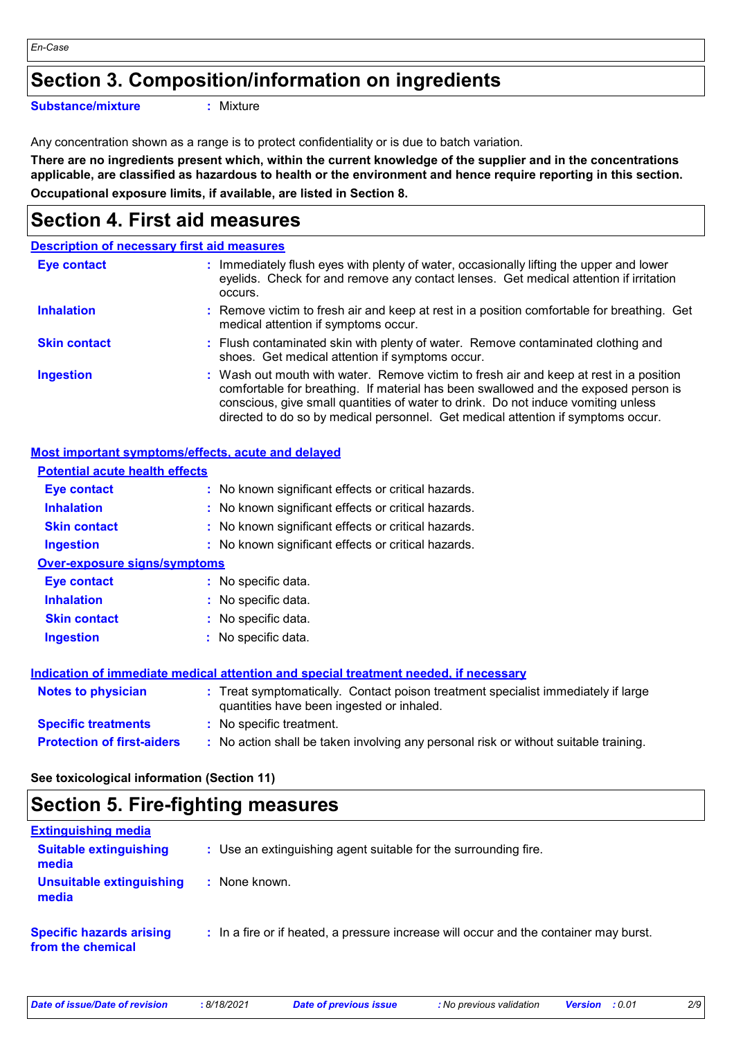### **Section 3. Composition/information on ingredients**

**Substance/mixture :**

: Mixture

Any concentration shown as a range is to protect confidentiality or is due to batch variation.

**There are no ingredients present which, within the current knowledge of the supplier and in the concentrations applicable, are classified as hazardous to health or the environment and hence require reporting in this section. Occupational exposure limits, if available, are listed in Section 8.**

### **Section 4. First aid measures**

|                     | <b>Description of necessary first aid measures</b>                                                                                                                                                                                                                                                                                                     |
|---------------------|--------------------------------------------------------------------------------------------------------------------------------------------------------------------------------------------------------------------------------------------------------------------------------------------------------------------------------------------------------|
| <b>Eye contact</b>  | : Immediately flush eyes with plenty of water, occasionally lifting the upper and lower<br>eyelids. Check for and remove any contact lenses. Get medical attention if irritation<br>occurs.                                                                                                                                                            |
| <b>Inhalation</b>   | : Remove victim to fresh air and keep at rest in a position comfortable for breathing. Get<br>medical attention if symptoms occur.                                                                                                                                                                                                                     |
| <b>Skin contact</b> | : Flush contaminated skin with plenty of water. Remove contaminated clothing and<br>shoes. Get medical attention if symptoms occur.                                                                                                                                                                                                                    |
| <b>Ingestion</b>    | : Wash out mouth with water. Remove victim to fresh air and keep at rest in a position<br>comfortable for breathing. If material has been swallowed and the exposed person is<br>conscious, give small quantities of water to drink. Do not induce vomiting unless<br>directed to do so by medical personnel. Get medical attention if symptoms occur. |

#### **Most important symptoms/effects, acute and delayed**

| <b>Potential acute health effects</b> |                                                                                                                                |
|---------------------------------------|--------------------------------------------------------------------------------------------------------------------------------|
| Eye contact                           | : No known significant effects or critical hazards.                                                                            |
| <b>Inhalation</b>                     | : No known significant effects or critical hazards.                                                                            |
| <b>Skin contact</b>                   | : No known significant effects or critical hazards.                                                                            |
| <b>Ingestion</b>                      | : No known significant effects or critical hazards.                                                                            |
| <b>Over-exposure signs/symptoms</b>   |                                                                                                                                |
| Eye contact                           | : No specific data.                                                                                                            |
| <b>Inhalation</b>                     | : No specific data.                                                                                                            |
| <b>Skin contact</b>                   | : No specific data.                                                                                                            |
| <b>Ingestion</b>                      | : No specific data.                                                                                                            |
|                                       | Indication of immediate medical attention and special treatment needed, if necessary                                           |
| <b>Notes to physician</b>             | : Treat symptomatically. Contact poison treatment specialist immediately if large<br>quantities have been ingested or inhaled. |
| <b>Specific treatments</b>            | : No specific treatment.                                                                                                       |
| <b>Protection of first-aiders</b>     | : No action shall be taken involving any personal risk or without suitable training.                                           |

**See toxicological information (Section 11)**

### **Section 5. Fire-fighting measures**

| <b>Extinguishing media</b>                           |                                                                                       |
|------------------------------------------------------|---------------------------------------------------------------------------------------|
| <b>Suitable extinguishing</b><br>media               | : Use an extinguishing agent suitable for the surrounding fire.                       |
| Unsuitable extinguishing<br>media                    | : None known.                                                                         |
| <b>Specific hazards arising</b><br>from the chemical | : In a fire or if heated, a pressure increase will occur and the container may burst. |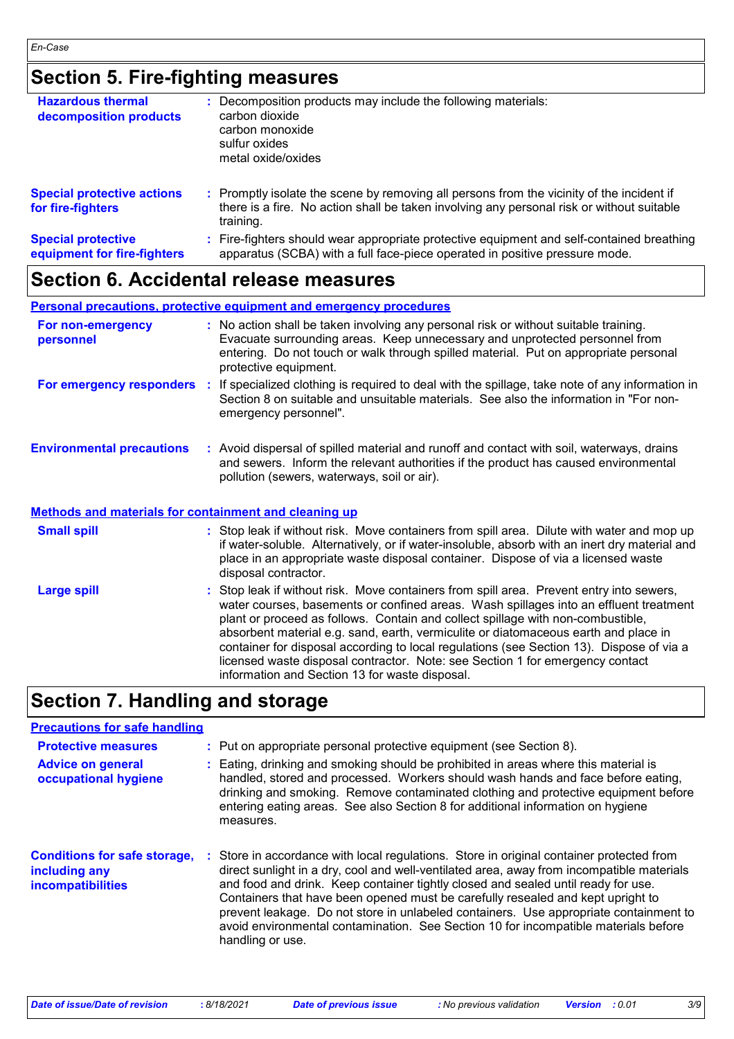# **Section 5. Fire-fighting measures**

| <b>Hazardous thermal</b><br>decomposition products       | : Decomposition products may include the following materials:<br>carbon dioxide<br>carbon monoxide<br>sulfur oxides<br>metal oxide/oxides                                                           |
|----------------------------------------------------------|-----------------------------------------------------------------------------------------------------------------------------------------------------------------------------------------------------|
| <b>Special protective actions</b><br>for fire-fighters   | : Promptly isolate the scene by removing all persons from the vicinity of the incident if<br>there is a fire. No action shall be taken involving any personal risk or without suitable<br>training. |
| <b>Special protective</b><br>equipment for fire-fighters | : Fire-fighters should wear appropriate protective equipment and self-contained breathing<br>apparatus (SCBA) with a full face-piece operated in positive pressure mode.                            |

# **Section 6. Accidental release measures**

|                                                              | <b>Personal precautions, protective equipment and emergency procedures</b>                                                                                                                                                                                                                                                                                                                                                                                                                                                                                                                 |
|--------------------------------------------------------------|--------------------------------------------------------------------------------------------------------------------------------------------------------------------------------------------------------------------------------------------------------------------------------------------------------------------------------------------------------------------------------------------------------------------------------------------------------------------------------------------------------------------------------------------------------------------------------------------|
| For non-emergency<br>personnel                               | : No action shall be taken involving any personal risk or without suitable training.<br>Evacuate surrounding areas. Keep unnecessary and unprotected personnel from<br>entering. Do not touch or walk through spilled material. Put on appropriate personal<br>protective equipment.                                                                                                                                                                                                                                                                                                       |
|                                                              | For emergency responders : If specialized clothing is required to deal with the spillage, take note of any information in<br>Section 8 on suitable and unsuitable materials. See also the information in "For non-<br>emergency personnel".                                                                                                                                                                                                                                                                                                                                                |
| <b>Environmental precautions</b>                             | : Avoid dispersal of spilled material and runoff and contact with soil, waterways, drains<br>and sewers. Inform the relevant authorities if the product has caused environmental<br>pollution (sewers, waterways, soil or air).                                                                                                                                                                                                                                                                                                                                                            |
| <b>Methods and materials for containment and cleaning up</b> |                                                                                                                                                                                                                                                                                                                                                                                                                                                                                                                                                                                            |
| <b>Small spill</b>                                           | : Stop leak if without risk. Move containers from spill area. Dilute with water and mop up<br>if water-soluble. Alternatively, or if water-insoluble, absorb with an inert dry material and<br>place in an appropriate waste disposal container. Dispose of via a licensed waste<br>disposal contractor.                                                                                                                                                                                                                                                                                   |
| <b>Large spill</b>                                           | : Stop leak if without risk. Move containers from spill area. Prevent entry into sewers,<br>water courses, basements or confined areas. Wash spillages into an effluent treatment<br>plant or proceed as follows. Contain and collect spillage with non-combustible,<br>absorbent material e.g. sand, earth, vermiculite or diatomaceous earth and place in<br>container for disposal according to local regulations (see Section 13). Dispose of via a<br>licensed waste disposal contractor. Note: see Section 1 for emergency contact<br>information and Section 13 for waste disposal. |

# **Section 7. Handling and storage**

#### **Precautions for safe handling**

| <b>Protective measures</b><br><b>Advice on general</b><br>occupational hygiene   | : Put on appropriate personal protective equipment (see Section 8).<br>: Eating, drinking and smoking should be prohibited in areas where this material is<br>handled, stored and processed. Workers should wash hands and face before eating,<br>drinking and smoking. Remove contaminated clothing and protective equipment before<br>entering eating areas. See also Section 8 for additional information on hygiene<br>measures.                                                                                                                              |
|----------------------------------------------------------------------------------|-------------------------------------------------------------------------------------------------------------------------------------------------------------------------------------------------------------------------------------------------------------------------------------------------------------------------------------------------------------------------------------------------------------------------------------------------------------------------------------------------------------------------------------------------------------------|
| <b>Conditions for safe storage,</b><br>including any<br><b>incompatibilities</b> | : Store in accordance with local regulations. Store in original container protected from<br>direct sunlight in a dry, cool and well-ventilated area, away from incompatible materials<br>and food and drink. Keep container tightly closed and sealed until ready for use.<br>Containers that have been opened must be carefully resealed and kept upright to<br>prevent leakage. Do not store in unlabeled containers. Use appropriate containment to<br>avoid environmental contamination. See Section 10 for incompatible materials before<br>handling or use. |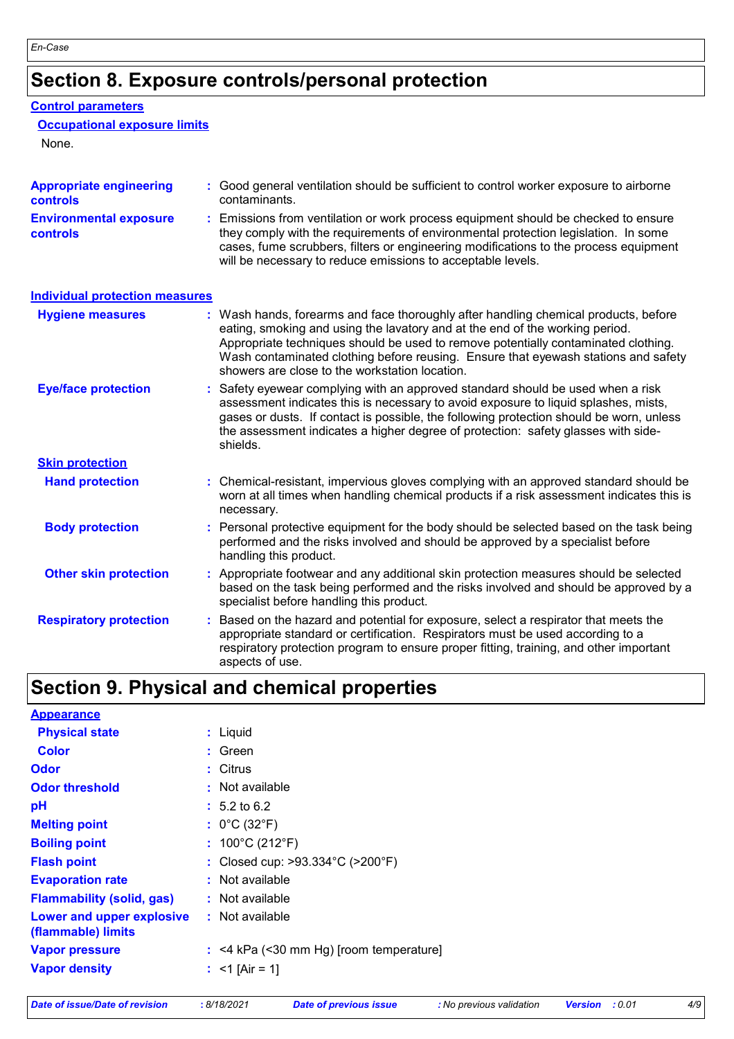# **Section 8. Exposure controls/personal protection**

#### **Control parameters**

#### **Occupational exposure limits**

None.

| <b>Appropriate engineering</b><br><b>controls</b> |    | : Good general ventilation should be sufficient to control worker exposure to airborne<br>contaminants.                                                                                                                                                                                                                                                                                           |
|---------------------------------------------------|----|---------------------------------------------------------------------------------------------------------------------------------------------------------------------------------------------------------------------------------------------------------------------------------------------------------------------------------------------------------------------------------------------------|
| <b>Environmental exposure</b><br><b>controls</b>  |    | : Emissions from ventilation or work process equipment should be checked to ensure<br>they comply with the requirements of environmental protection legislation. In some<br>cases, fume scrubbers, filters or engineering modifications to the process equipment<br>will be necessary to reduce emissions to acceptable levels.                                                                   |
| <b>Individual protection measures</b>             |    |                                                                                                                                                                                                                                                                                                                                                                                                   |
| <b>Hygiene measures</b>                           |    | : Wash hands, forearms and face thoroughly after handling chemical products, before<br>eating, smoking and using the lavatory and at the end of the working period.<br>Appropriate techniques should be used to remove potentially contaminated clothing.<br>Wash contaminated clothing before reusing. Ensure that eyewash stations and safety<br>showers are close to the workstation location. |
| <b>Eye/face protection</b>                        |    | : Safety eyewear complying with an approved standard should be used when a risk<br>assessment indicates this is necessary to avoid exposure to liquid splashes, mists,<br>gases or dusts. If contact is possible, the following protection should be worn, unless<br>the assessment indicates a higher degree of protection: safety glasses with side-<br>shields.                                |
| <b>Skin protection</b>                            |    |                                                                                                                                                                                                                                                                                                                                                                                                   |
| <b>Hand protection</b>                            |    | : Chemical-resistant, impervious gloves complying with an approved standard should be<br>worn at all times when handling chemical products if a risk assessment indicates this is<br>necessary.                                                                                                                                                                                                   |
| <b>Body protection</b>                            |    | : Personal protective equipment for the body should be selected based on the task being<br>performed and the risks involved and should be approved by a specialist before<br>handling this product.                                                                                                                                                                                               |
| <b>Other skin protection</b>                      |    | : Appropriate footwear and any additional skin protection measures should be selected<br>based on the task being performed and the risks involved and should be approved by a<br>specialist before handling this product.                                                                                                                                                                         |
| <b>Respiratory protection</b>                     | ÷. | Based on the hazard and potential for exposure, select a respirator that meets the<br>appropriate standard or certification. Respirators must be used according to a<br>respiratory protection program to ensure proper fitting, training, and other important<br>aspects of use.                                                                                                                 |

# **Section 9. Physical and chemical properties**

| <b>Appearance</b>                               |                                           |
|-------------------------------------------------|-------------------------------------------|
| <b>Physical state</b>                           | : Liquid                                  |
| <b>Color</b>                                    | : Green                                   |
| <b>Odor</b>                                     | : Citrus                                  |
| <b>Odor threshold</b>                           | : Not available                           |
| pH                                              | $: 5.2 \text{ to } 6.2$                   |
| <b>Melting point</b>                            | : $0^{\circ}$ C (32 $^{\circ}$ F)         |
| <b>Boiling point</b>                            | : $100^{\circ}$ C (212 $^{\circ}$ F)      |
| <b>Flash point</b>                              | : Closed cup: >93.334°C (>200°F)          |
| <b>Evaporation rate</b>                         | $:$ Not available                         |
| <b>Flammability (solid, gas)</b>                | $:$ Not available                         |
| Lower and upper explosive<br>(flammable) limits | : Not available                           |
| <b>Vapor pressure</b>                           | $:$ <4 kPa (<30 mm Hg) [room temperature] |
| <b>Vapor density</b>                            | : $<$ 1 [Air = 1]                         |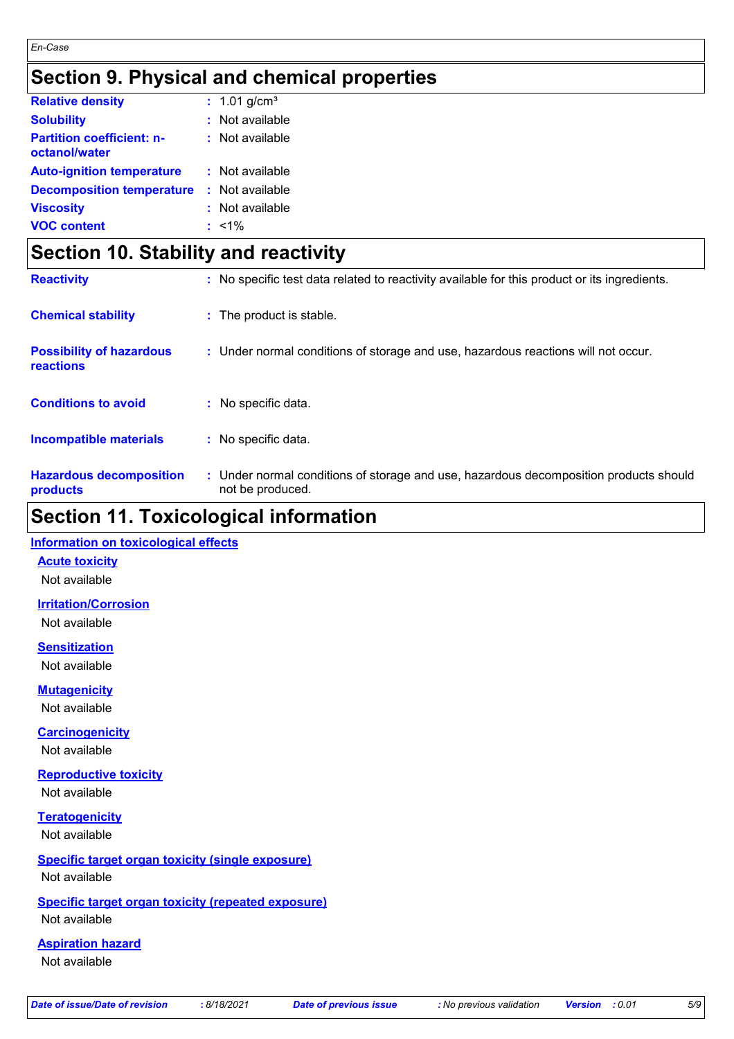## **Section 9. Physical and chemical properties**

| <b>Relative density</b>                           | : $1.01$ g/cm <sup>3</sup> |
|---------------------------------------------------|----------------------------|
| <b>Solubility</b>                                 | : Not available            |
| <b>Partition coefficient: n-</b><br>octanol/water | : Not available            |
| <b>Auto-ignition temperature</b>                  | : Not available            |
| <b>Decomposition temperature</b>                  | : Not available            |
| <b>Viscosity</b>                                  | : Not available            |
| <b>VOC content</b>                                | $: 1\%$                    |

### **Section 10. Stability and reactivity**

| <b>Reactivity</b>                            | : No specific test data related to reactivity available for this product or its ingredients.              |
|----------------------------------------------|-----------------------------------------------------------------------------------------------------------|
| <b>Chemical stability</b>                    | : The product is stable.                                                                                  |
| <b>Possibility of hazardous</b><br>reactions | : Under normal conditions of storage and use, hazardous reactions will not occur.                         |
| <b>Conditions to avoid</b>                   | : No specific data.                                                                                       |
| <b>Incompatible materials</b>                | : No specific data.                                                                                       |
| <b>Hazardous decomposition</b><br>products   | : Under normal conditions of storage and use, hazardous decomposition products should<br>not be produced. |

### **Section 11. Toxicological information**

#### **Information on toxicological effects**

**Acute toxicity**

Not available

**Irritation/Corrosion** Not available

**Sensitization** Not available

**Mutagenicity**

Not available

**Carcinogenicity**

Not available

**Reproductive toxicity** Not available

**Teratogenicity** Not available

#### **Specific target organ toxicity (single exposure)** Not available

### **Specific target organ toxicity (repeated exposure)**

Not available

#### **Aspiration hazard**

Not available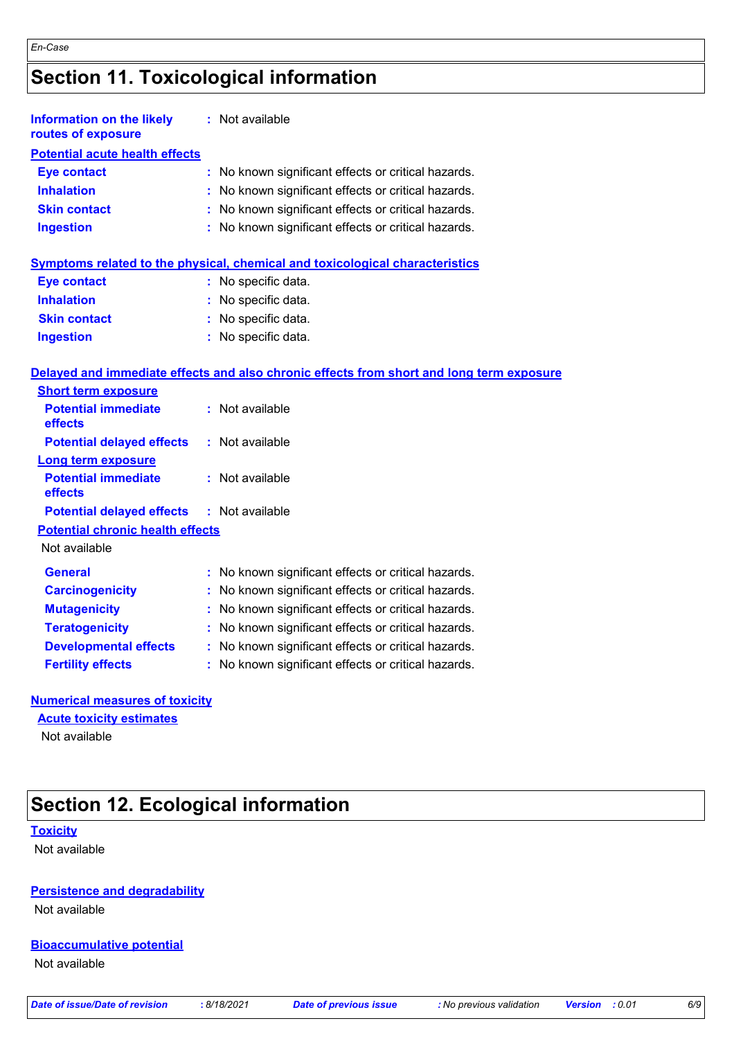# **Section 11. Toxicological information**

| <b>Information on the likely</b><br>routes of exposure |    | : Not available                                                                          |
|--------------------------------------------------------|----|------------------------------------------------------------------------------------------|
| <b>Potential acute health effects</b>                  |    |                                                                                          |
| <b>Eye contact</b>                                     | ÷. | No known significant effects or critical hazards.                                        |
| <b>Inhalation</b>                                      |    | No known significant effects or critical hazards.                                        |
| <b>Skin contact</b>                                    | t. | No known significant effects or critical hazards.                                        |
| <b>Ingestion</b>                                       |    | : No known significant effects or critical hazards.                                      |
|                                                        |    | Symptoms related to the physical, chemical and toxicological characteristics             |
| <b>Eye contact</b>                                     |    | : No specific data.                                                                      |
| <b>Inhalation</b>                                      |    | : No specific data.                                                                      |
| <b>Skin contact</b>                                    |    | No specific data.                                                                        |
| <b>Ingestion</b>                                       |    | : No specific data.                                                                      |
|                                                        |    | Delayed and immediate effects and also chronic effects from short and long term exposure |
| <b>Short term exposure</b>                             |    |                                                                                          |
| <b>Potential immediate</b><br>effects                  |    | : Not available                                                                          |
| <b>Potential delayed effects</b>                       |    | : Not available                                                                          |
| <b>Long term exposure</b>                              |    |                                                                                          |
| <b>Potential immediate</b><br>effects                  |    | : Not available                                                                          |
| <b>Potential delayed effects</b>                       |    | : Not available                                                                          |
| <b>Potential chronic health effects</b>                |    |                                                                                          |
| Not available                                          |    |                                                                                          |
| <b>General</b>                                         |    | : No known significant effects or critical hazards.                                      |
| <b>Carcinogenicity</b>                                 |    | No known significant effects or critical hazards.                                        |
| <b>Mutagenicity</b>                                    |    | No known significant effects or critical hazards.                                        |
| <b>Teratogenicity</b>                                  |    | : No known significant effects or critical hazards.                                      |

**Developmental effects :** No known significant effects or critical hazards.

**Fertility effects :** No known significant effects or critical hazards.

#### **Numerical measures of toxicity**

#### **Acute toxicity estimates**

Not available

# **Section 12. Ecological information**

#### **Toxicity**

Not available

### **Persistence and degradability**

Not available

### **Bioaccumulative potential**

Not available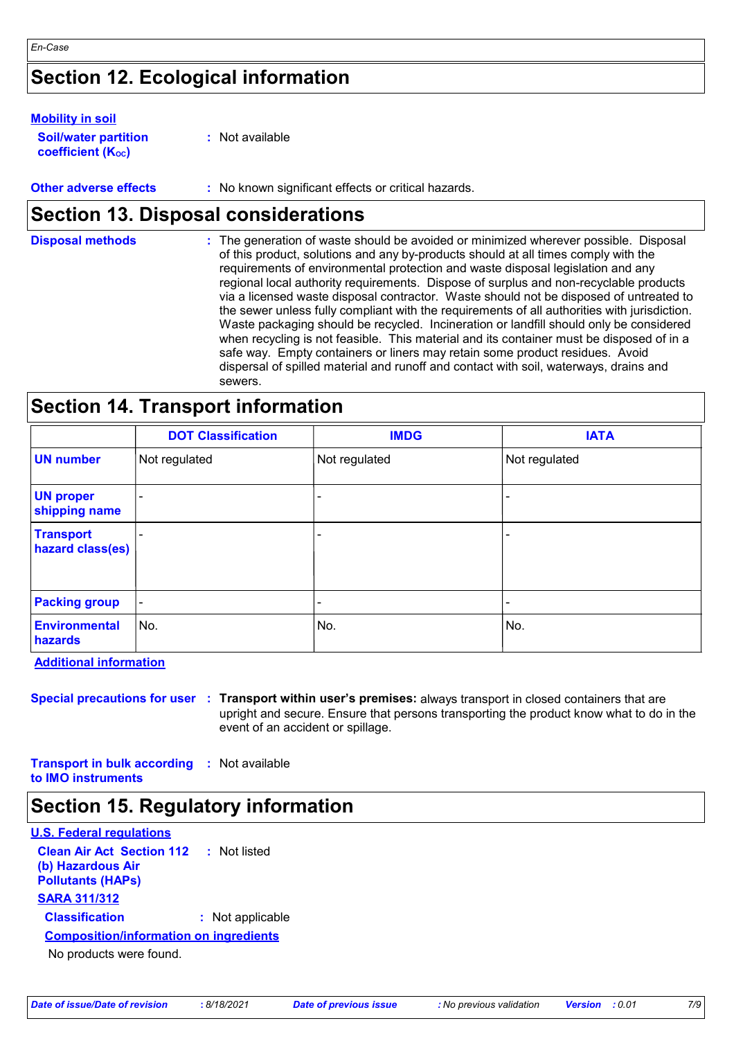## **Section 12. Ecological information**

#### **Mobility in soil**

| <b>Soil/water partition</b> | : Not available |
|-----------------------------|-----------------|
| <b>coefficient (Koc)</b>    |                 |

**Other adverse effects** : No known significant effects or critical hazards.

### **Section 13. Disposal considerations**

| <b>Disposal methods</b> | : The generation of waste should be avoided or minimized wherever possible. Disposal<br>of this product, solutions and any by-products should at all times comply with the<br>requirements of environmental protection and waste disposal legislation and any<br>regional local authority requirements. Dispose of surplus and non-recyclable products<br>via a licensed waste disposal contractor. Waste should not be disposed of untreated to<br>the sewer unless fully compliant with the requirements of all authorities with jurisdiction.<br>Waste packaging should be recycled. Incineration or landfill should only be considered<br>when recycling is not feasible. This material and its container must be disposed of in a<br>safe way. Empty containers or liners may retain some product residues. Avoid<br>dispersal of spilled material and runoff and contact with soil, waterways, drains and |
|-------------------------|-----------------------------------------------------------------------------------------------------------------------------------------------------------------------------------------------------------------------------------------------------------------------------------------------------------------------------------------------------------------------------------------------------------------------------------------------------------------------------------------------------------------------------------------------------------------------------------------------------------------------------------------------------------------------------------------------------------------------------------------------------------------------------------------------------------------------------------------------------------------------------------------------------------------|
|                         | sewers.                                                                                                                                                                                                                                                                                                                                                                                                                                                                                                                                                                                                                                                                                                                                                                                                                                                                                                         |

# **Section 14. Transport information**

|                                      | <b>DOT Classification</b> | <b>IMDG</b>   | <b>IATA</b>              |
|--------------------------------------|---------------------------|---------------|--------------------------|
| <b>UN</b> number                     | Not regulated             | Not regulated | Not regulated            |
| <b>UN proper</b><br>shipping name    |                           |               |                          |
| <b>Transport</b><br>hazard class(es) |                           |               |                          |
| <b>Packing group</b>                 | $\blacksquare$            |               | $\overline{\phantom{a}}$ |
| Environmental<br>hazards             | No.                       | No.           | No.                      |

**Additional information**

**Special precautions for user Transport within user's premises:** always transport in closed containers that are **:** upright and secure. Ensure that persons transporting the product know what to do in the event of an accident or spillage.

**Transport in bulk according :** Not available **to IMO instruments**

**Section 15. Regulatory information**

| U.S. Federal regulations                      |                  |  |  |  |
|-----------------------------------------------|------------------|--|--|--|
| <b>Clean Air Act Section 112</b>              | : Not listed     |  |  |  |
| (b) Hazardous Air<br><b>Pollutants (HAPs)</b> |                  |  |  |  |
| <b>SARA 311/312</b>                           |                  |  |  |  |
| <b>Classification</b>                         | : Not applicable |  |  |  |
| <b>Composition/information on ingredients</b> |                  |  |  |  |
| No products were found.                       |                  |  |  |  |
|                                               |                  |  |  |  |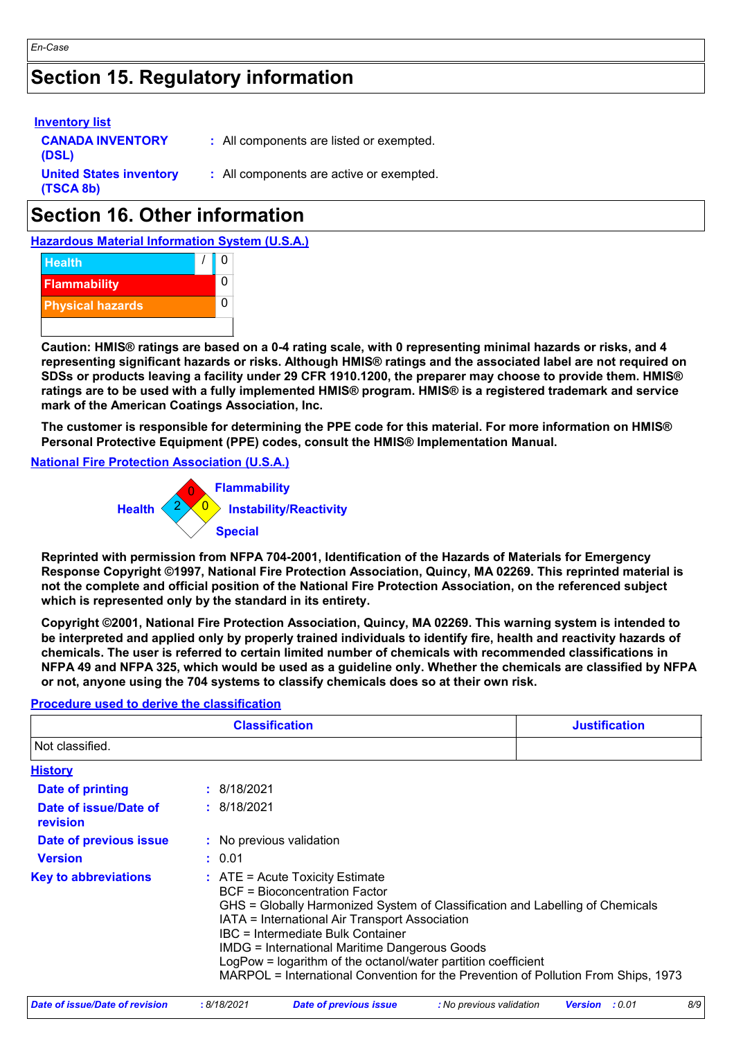## **Section 15. Regulatory information**

| <b>Inventory list</b>                       |                                          |  |
|---------------------------------------------|------------------------------------------|--|
| <b>CANADA INVENTORY</b><br>(DSL)            | : All components are listed or exempted. |  |
| <b>United States inventory</b><br>(TSCA 8b) | : All components are active or exempted. |  |
|                                             |                                          |  |

# **Section 16. Other information**

**Hazardous Material Information System (U.S.A.)**



*En-Case*

**Caution: HMIS® ratings are based on a 0-4 rating scale, with 0 representing minimal hazards or risks, and 4 representing significant hazards or risks. Although HMIS® ratings and the associated label are not required on SDSs or products leaving a facility under 29 CFR 1910.1200, the preparer may choose to provide them. HMIS® ratings are to be used with a fully implemented HMIS® program. HMIS® is a registered trademark and service mark of the American Coatings Association, Inc.**

**The customer is responsible for determining the PPE code for this material. For more information on HMIS® Personal Protective Equipment (PPE) codes, consult the HMIS® Implementation Manual.**

#### **National Fire Protection Association (U.S.A.)**



**Reprinted with permission from NFPA 704-2001, Identification of the Hazards of Materials for Emergency Response Copyright ©1997, National Fire Protection Association, Quincy, MA 02269. This reprinted material is not the complete and official position of the National Fire Protection Association, on the referenced subject which is represented only by the standard in its entirety.**

**Copyright ©2001, National Fire Protection Association, Quincy, MA 02269. This warning system is intended to be interpreted and applied only by properly trained individuals to identify fire, health and reactivity hazards of chemicals. The user is referred to certain limited number of chemicals with recommended classifications in NFPA 49 and NFPA 325, which would be used as a guideline only. Whether the chemicals are classified by NFPA or not, anyone using the 704 systems to classify chemicals does so at their own risk.**

#### **Procedure used to derive the classification**

| <b>Classification</b><br><b>Justification</b> |  |                                                                                                                                                                                                                                                                                                                                                                                                                                                                           |  |
|-----------------------------------------------|--|---------------------------------------------------------------------------------------------------------------------------------------------------------------------------------------------------------------------------------------------------------------------------------------------------------------------------------------------------------------------------------------------------------------------------------------------------------------------------|--|
| Not classified.                               |  |                                                                                                                                                                                                                                                                                                                                                                                                                                                                           |  |
| <b>History</b>                                |  |                                                                                                                                                                                                                                                                                                                                                                                                                                                                           |  |
| Date of printing                              |  | : 8/18/2021                                                                                                                                                                                                                                                                                                                                                                                                                                                               |  |
| Date of issue/Date of<br>revision             |  | : 8/18/2021                                                                                                                                                                                                                                                                                                                                                                                                                                                               |  |
| Date of previous issue                        |  | : No previous validation                                                                                                                                                                                                                                                                                                                                                                                                                                                  |  |
| <b>Version</b>                                |  | : 0.01                                                                                                                                                                                                                                                                                                                                                                                                                                                                    |  |
| <b>Key to abbreviations</b>                   |  | $\therefore$ ATE = Acute Toxicity Estimate<br><b>BCF</b> = Bioconcentration Factor<br>GHS = Globally Harmonized System of Classification and Labelling of Chemicals<br>IATA = International Air Transport Association<br>IBC = Intermediate Bulk Container<br><b>IMDG = International Maritime Dangerous Goods</b><br>LogPow = logarithm of the octanol/water partition coefficient<br>MARPOL = International Convention for the Prevention of Pollution From Ships, 1973 |  |